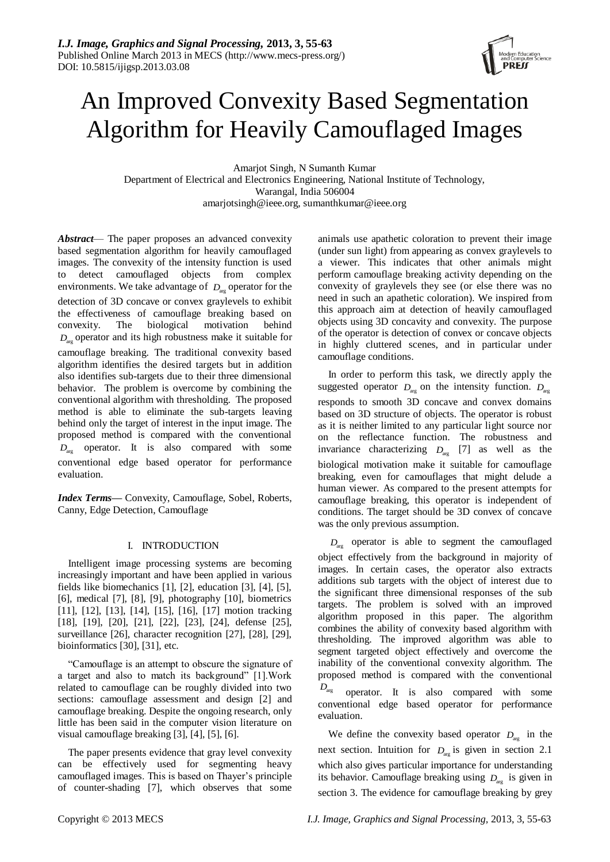

# An Improved Convexity Based Segmentation Algorithm for Heavily Camouflaged Images

Amarjot Singh, N Sumanth Kumar Department of Electrical and Electronics Engineering, National Institute of Technology, Warangal, India 506004 amarjotsingh@ieee.org, sumanthkumar@ieee.org

*Abstract*— The paper proposes an advanced convexity based segmentation algorithm for heavily camouflaged images. The convexity of the intensity function is used to detect camouflaged objects from complex environments. We take advantage of  $D_{\text{arg}}$  operator for the detection of 3D concave or convex graylevels to exhibit the effectiveness of camouflage breaking based on convexity. The biological motivation behind *D*arg operator and its high robustness make it suitable for camouflage breaking. The traditional convexity based algorithm identifies the desired targets but in addition also identifies sub-targets due to their three dimensional behavior. The problem is overcome by combining the conventional algorithm with thresholding. The proposed method is able to eliminate the sub-targets leaving behind only the target of interest in the input image. The proposed method is compared with the conventional *D*arg operator. It is also compared with some conventional edge based operator for performance evaluation.

*Index Terms—* Convexity, Camouflage, Sobel, Roberts, Canny, Edge Detection, Camouflage

# I. INTRODUCTION

Intelligent image processing systems are becoming increasingly important and have been applied in various fields like biomechanics [1], [2], education [3], [4], [5], [6], medical [7], [8], [9], photography [10], biometrics [11], [12], [13], [14], [15], [16], [17] motion tracking [18], [19], [20], [21], [22], [23], [24], defense [25], surveillance [26], character recognition [27], [28], [29], bioinformatics [30], [31], etc.

"Camouflage is an attempt to obscure the signature of a target and also to match its background" [1].Work related to camouflage can be roughly divided into two sections: camouflage assessment and design [2] and camouflage breaking. Despite the ongoing research, only little has been said in the computer vision literature on visual camouflage breaking [3], [4], [5], [6].

The paper presents evidence that gray level convexity can be effectively used for segmenting heavy camouflaged images. This is based on Thayer's principle of counter-shading [7], which observes that some animals use apathetic coloration to prevent their image (under sun light) from appearing as convex graylevels to a viewer. This indicates that other animals might perform camouflage breaking activity depending on the convexity of graylevels they see (or else there was no need in such an apathetic coloration). We inspired from this approach aim at detection of heavily camouflaged objects using 3D concavity and convexity. The purpose of the operator is detection of convex or concave objects in highly cluttered scenes, and in particular under camouflage conditions.

In order to perform this task, we directly apply the suggested operator  $D_{\text{arg}}$  on the intensity function.  $D_{\text{arg}}$ responds to smooth 3D concave and convex domains based on 3D structure of objects. The operator is robust as it is neither limited to any particular light source nor on the reflectance function. The robustness and invariance characterizing  $D_{\text{arg}}$  [7] as well as the biological motivation make it suitable for camouflage breaking, even for camouflages that might delude a human viewer. As compared to the present attempts for camouflage breaking, this operator is independent of conditions. The target should be 3D convex of concave was the only previous assumption.

 $D_{\text{arg}}$  operator is able to segment the camouflaged object effectively from the background in majority of images. In certain cases, the operator also extracts additions sub targets with the object of interest due to the significant three dimensional responses of the sub targets. The problem is solved with an improved algorithm proposed in this paper. The algorithm combines the ability of convexity based algorithm with thresholding. The improved algorithm was able to segment targeted object effectively and overcome the inability of the conventional convexity algorithm. The proposed method is compared with the conventional *D*arg operator. It is also compared with some conventional edge based operator for performance evaluation.

We define the convexity based operator  $D_{\text{arg}}$  in the next section. Intuition for  $D_{\text{arg}}$  is given in section 2.1 which also gives particular importance for understanding its behavior. Camouflage breaking using  $D_{\text{arg}}$  is given in section 3. The evidence for camouflage breaking by grey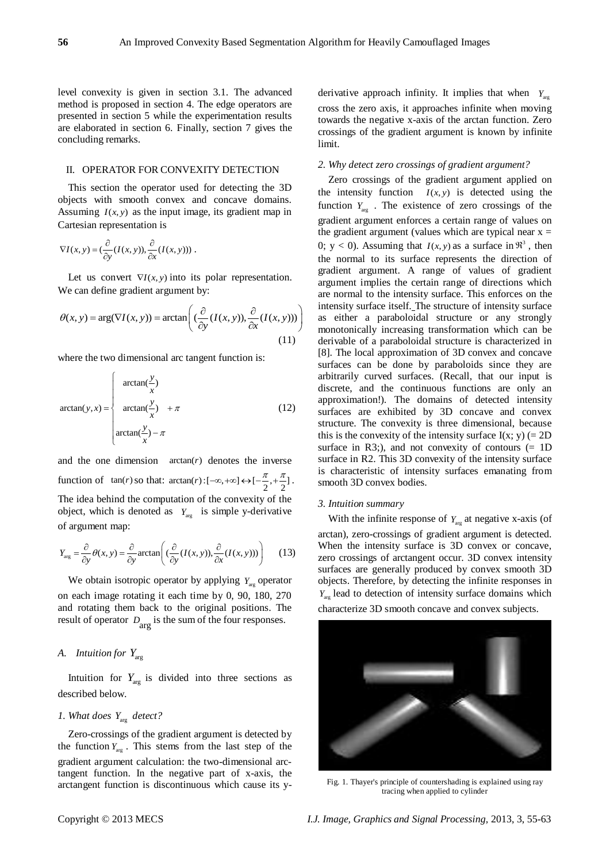level convexity is given in section 3.1. The advanced method is proposed in section 4. The edge operators are presented in section 5 while the experimentation results are elaborated in section 6. Finally, section 7 gives the concluding remarks.

## II. OPERATOR FOR CONVEXITY DETECTION

This section the operator used for detecting the 3D objects with smooth convex and concave domains. Assuming  $I(x, y)$  as the input image, its gradient map in Cartesian representation is

$$
\nabla I(x, y) = \left(\frac{\partial}{\partial y}(I(x, y)), \frac{\partial}{\partial x}(I(x, y))\right).
$$

Let us convert  $\nabla I(x, y)$  into its polar representation. We can define gradient argument by:

We can define gradient argument by:  
\n
$$
\theta(x, y) = \arg(\nabla I(x, y)) = \arctan\left(\frac{\partial}{\partial y}(I(x, y)), \frac{\partial}{\partial x}(I(x, y)))\right)
$$
\n
$$
\begin{cases}\n\text{int of } \frac{\partial}{\partial x}(I(x, y)) = \arctan\left(\frac{\partial}{\partial y}(I(x, y)), \frac{\partial}{\partial x}(I(x, y)))\right) & \text{if } \frac{\partial}{\partial y}(I(x, y)) = 0 \\
\text{for } I(x, y) = \arctan\left(\frac{\partial}{\partial y}(I(x, y)), \frac{\partial}{\partial x}(I(x, y)))\right) & \text{if } \frac{\partial}{\partial y}(I(x, y)) = 0\n\end{cases}
$$

where the two dimensional arc tangent function is:

$$
\arctan(y, x) = \begin{cases} \arctan(\frac{y}{x}) \\ \arctan(\frac{y}{x}) + \pi \\ \arctan(\frac{y}{x}) - \pi \end{cases}
$$
 (12)

and the one dimension  $arctan(r)$  denotes the inverse function of  $\tan(r)$  so that:  $\arctan(r)$  :  $[-\infty, +\infty] \leftrightarrow [-\frac{\pi}{2}, +\frac{\pi}{2}]$ . The idea behind the computation of the convexity of the object, which is denoted as  $Y_{\text{arg}}$  is simple y-derivative of argument map:

$$
Y_{\text{arg}} = \frac{\partial}{\partial y} \theta(x, y) = \frac{\partial}{\partial y} \arctan\left( \left( \frac{\partial}{\partial y} (I(x, y)), \frac{\partial}{\partial x} (I(x, y)) \right) \right) \tag{13}
$$

We obtain isotropic operator by applying  $Y_{\text{arg}}$  operator on each image rotating it each time by 0, 90, 180, 270 and rotating them back to the original positions. The result of operator  $D_{\text{arg}}$  is the sum of the four responses.

# *A. Intuition for Y*arg

Intuition for  $Y_{\text{arg}}$  is divided into three sections as described below.

# *1. What does*  $Y_{\text{arg}}$  detect?

Zero-crossings of the gradient argument is detected by the function  $Y_{\text{arg}}$ . This stems from the last step of the gradient argument calculation: the two-dimensional arctangent function. In the negative part of x-axis, the arctangent function is discontinuous which cause its y-

derivative approach infinity. It implies that when  $Y_{\text{arg}}$ cross the zero axis, it approaches infinite when moving towards the negative x-axis of the arctan function. Zero crossings of the gradient argument is known by infinite limit.

#### *2. Why detect zero crossings of gradient argument?*

Zero crossings of the gradient argument applied on the intensity function  $I(x, y)$  is detected using the function  $Y_{\text{arg}}$ . The existence of zero crossings of the gradient argument enforces a certain range of values on the gradient argument (values which are typical near  $x =$ 0;  $y < 0$ ). Assuming that  $I(x, y)$  as a surface in  $\mathfrak{R}^3$ , then the normal to its surface represents the direction of gradient argument. A range of values of gradient argument implies the certain range of directions which are normal to the intensity surface. This enforces on the intensity surface itself. The structure of intensity surface as either a paraboloidal structure or any strongly monotonically increasing transformation which can be derivable of a paraboloidal structure is characterized in [8]. The local approximation of 3D convex and concave surfaces can be done by paraboloids since they are arbitrarily curved surfaces. (Recall, that our input is discrete, and the continuous functions are only an approximation!). The domains of detected intensity surfaces are exhibited by 3D concave and convex structure. The convexity is three dimensional, because this is the convexity of the intensity surface  $I(x; y) (= 2D)$ surface in R3;), and not convexity of contours  $(= 1D)$ surface in R2. This 3D convexity of the intensity surface is characteristic of intensity surfaces emanating from smooth 3D convex bodies.

#### *3. Intuition summary*

With the infinite response of  $Y_{\text{arg}}$  at negative x-axis (of arctan), zero-crossings of gradient argument is detected. When the intensity surface is 3D convex or concave, zero crossings of arctangent occur. 3D convex intensity surfaces are generally produced by convex smooth 3D objects. Therefore, by detecting the infinite responses in  $Y_{\text{arg}}$  lead to detection of intensity surface domains which

characterize 3D smooth concave and convex subjects.



Fig. 1. Thayer's principle of countershading is explained using ray tracing when applied to cylinder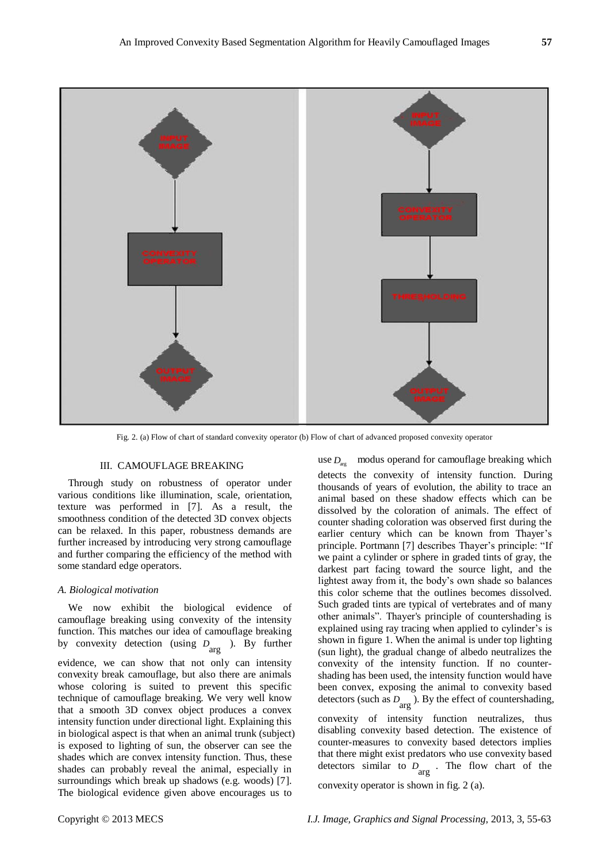

Fig. 2. (a) Flow of chart of standard convexity operator (b) Flow of chart of advanced proposed convexity operator

## III. CAMOUFLAGE BREAKING

Through study on robustness of operator under various conditions like illumination, scale, orientation, texture was performed in [7]. As a result, the smoothness condition of the detected 3D convex objects can be relaxed. In this paper, robustness demands are further increased by introducing very strong camouflage and further comparing the efficiency of the method with some standard edge operators.

#### *A. Biological motivation*

We now exhibit the biological evidence of camouflage breaking using convexity of the intensity function. This matches our idea of camouflage breaking by convexity detection (using  $D_{\text{arg}}$ ). By further evidence, we can show that not only can intensity convexity break camouflage, but also there are animals whose coloring is suited to prevent this specific technique of camouflage breaking. We very well know that a smooth 3D convex object produces a convex intensity function under directional light. Explaining this in biological aspect is that when an animal trunk (subject) is exposed to lighting of sun, the observer can see the shades which are convex intensity function. Thus, these shades can probably reveal the animal, especially in surroundings which break up shadows (e.g. woods) [7]. The biological evidence given above encourages us to

use  $D_{\text{arg}}$  modus operand for camouflage breaking which detects the convexity of intensity function. During thousands of years of evolution, the ability to trace an animal based on these shadow effects which can be dissolved by the coloration of animals. The effect of counter shading coloration was observed first during the earlier century which can be known from Thayer's principle. Portmann [7] describes Thayer's principle: "If we paint a cylinder or sphere in graded tints of gray, the darkest part facing toward the source light, and the lightest away from it, the body's own shade so balances this color scheme that the outlines becomes dissolved. Such graded tints are typical of vertebrates and of many other animals". Thayer's principle of countershading is explained using ray tracing when applied to cylinder's is shown in figure 1. When the animal is under top lighting (sun light), the gradual change of albedo neutralizes the convexity of the intensity function. If no countershading has been used, the intensity function would have been convex, exposing the animal to convexity based detectors (such as arg *D* ). By the effect of countershading,

convexity of intensity function neutralizes, thus disabling convexity based detection. The existence of counter-measures to convexity based detectors implies that there might exist predators who use convexity based detectors similar to  $D_{\text{arg}}$ . The flow chart of the

convexity operator is shown in fig. 2 (a).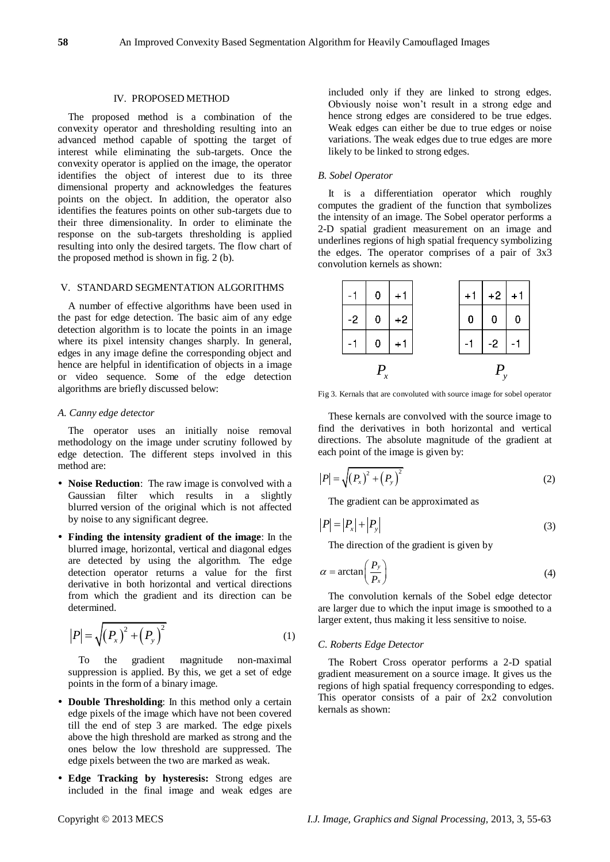## IV. PROPOSED METHOD

The proposed method is a combination of the convexity operator and thresholding resulting into an advanced method capable of spotting the target of interest while eliminating the sub-targets. Once the convexity operator is applied on the image, the operator identifies the object of interest due to its three dimensional property and acknowledges the features points on the object. In addition, the operator also identifies the features points on other sub-targets due to their three dimensionality. In order to eliminate the response on the sub-targets thresholding is applied resulting into only the desired targets. The flow chart of the proposed method is shown in fig. 2 (b).

## V. STANDARD SEGMENTATION ALGORITHMS

A number of effective algorithms have been used in the past for edge detection. The basic aim of any edge detection algorithm is to locate the points in an image where its pixel intensity changes sharply. In general, edges in any image define the corresponding object and hence are helpful in identification of objects in a image or video sequence. Some of the edge detection algorithms are briefly discussed below:

#### *A. Canny edge detector*

The operator uses an initially noise removal methodology on the image under scrutiny followed by edge detection. The different steps involved in this method are:

- **Noise Reduction**: The raw image is convolved with a Gaussian filter which results in a slightly blurred version of the original which is not affected by noise to any significant degree.
- **Finding the intensity gradient of the image**: In the blurred image, horizontal, vertical and diagonal edges are detected by using the algorithm. The edge detection operator returns a value for the first derivative in both horizontal and vertical directions from which the gradient and its direction can be determined.

$$
|P| = \sqrt{(P_x)^2 + (P_y)^2}
$$
 (1)

To the gradient magnitude non-maximal suppression is applied. By this, we get a set of edge points in the form of a binary image.

- **Double Thresholding**: In this method only a certain edge pixels of the image which have not been covered till the end of step 3 are marked. The edge pixels above the high threshold are marked as strong and the ones below the low threshold are suppressed. The edge pixels between the two are marked as weak.
- **Edge Tracking by hysteresis:** Strong edges are included in the final image and weak edges are

included only if they are linked to strong edges. Obviously noise won't result in a strong edge and hence strong edges are considered to be true edges. Weak edges can either be due to true edges or noise variations. The weak edges due to true edges are more likely to be linked to strong edges.

#### *B. Sobel Operator*

It is a differentiation operator which roughly computes the gradient of the function that symbolizes the intensity of an image. The Sobel operator performs a 2-D spatial gradient measurement on an image and underlines regions of high spatial frequency symbolizing the edges. The operator comprises of a pair of 3x3 convolution kernels as shown:

|  |      | 0                | $+1$ |  | $+1$ | $+2$ | $+1$ |
|--|------|------------------|------|--|------|------|------|
|  | $-2$ | $\boldsymbol{0}$ | $+2$ |  | 0    |      |      |
|  |      | 0                | $+1$ |  |      | $-2$ |      |
|  |      |                  |      |  |      |      |      |

Fig 3. Kernals that are convoluted with source image for sobel operator

These kernals are convolved with the source image to find the derivatives in both horizontal and vertical directions. The absolute magnitude of the gradient at each point of the image is given by:

$$
|P| = \sqrt{(P_x)^2 + (P_y)^2}
$$
 (2)

The gradient can be approximated as

$$
|P| = |P_x| + |P_y| \tag{3}
$$

The direction of the gradient is given by

$$
\alpha = \arctan\left(\frac{P_y}{P_x}\right) \tag{4}
$$

The convolution kernals of the Sobel edge detector are larger due to which the input image is smoothed to a larger extent, thus making it less sensitive to noise.

#### *C. Roberts Edge Detector*

The Robert Cross operator performs a 2-D spatial gradient measurement on a source image. It gives us the regions of high spatial frequency corresponding to edges. This operator consists of a pair of 2x2 convolution kernals as shown: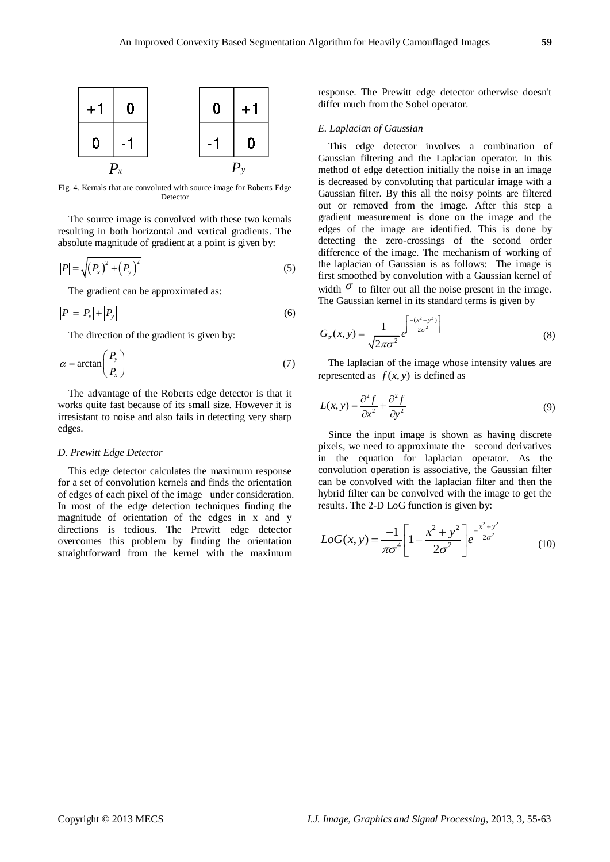

Fig. 4. Kernals that are convoluted with source image for Roberts Edge Detector

The source image is convolved with these two kernals resulting in both horizontal and vertical gradients. The absolute magnitude of gradient at a point is given by:

$$
|P| = \sqrt{(P_x)^2 + (P_y)^2}
$$
 (5)

The gradient can be approximated as:

$$
|P| = |P_x| + |P_y| \tag{6}
$$

The direction of the gradient is given by:

$$
\alpha = \arctan\left(\frac{P_y}{P_x}\right) \tag{7}
$$

The advantage of the Roberts edge detector is that it works quite fast because of its small size. However it is irresistant to noise and also fails in detecting very sharp edges.

## *D. Prewitt Edge Detector*

This edge detector calculates the maximum response for a set of convolution kernels and finds the orientation of edges of each pixel of the image under consideration. In most of the edge detection techniques finding the magnitude of orientation of the edges in x and y directions is tedious. The Prewitt edge detector overcomes this problem by finding the orientation straightforward from the kernel with the maximum

response. The Prewitt edge detector otherwise doesn't differ much from the Sobel operator.

## *E. Laplacian of Gaussian*

This edge detector involves a combination of Gaussian filtering and the Laplacian operator. In this method of edge detection initially the noise in an image is decreased by convoluting that particular image with a Gaussian filter. By this all the noisy points are filtered out or removed from the image. After this step a gradient measurement is done on the image and the edges of the image are identified. This is done by detecting the zero-crossings of the second order difference of the image. The mechanism of working of the laplacian of Gaussian is as follows: The image is first smoothed by convolution with a Gaussian kernel of width  $\sigma$  to filter out all the noise present in the image. The Gaussian kernel in its standard terms is given by

$$
G_{\sigma}(x, y) = \frac{1}{\sqrt{2\pi\sigma^2}} e^{\left[\frac{-(x^2 + y^2)}{2\sigma^2}\right]}
$$
(8)

The laplacian of the image whose intensity values are represented as  $f(x, y)$  is defined as

$$
L(x, y) = \frac{\partial^2 f}{\partial x^2} + \frac{\partial^2 f}{\partial y^2}
$$
 (9)

Since the input image is shown as having discrete pixels, we need to approximate the second derivatives in the equation for laplacian operator. As the convolution operation is associative, the Gaussian filter can be convolved with the laplacian filter and then the hybrid filter can be convolved with the image to get the results. The 2-D LoG function is given by:

$$
LoG(x, y) = \frac{-1}{\pi \sigma^4} \left[ 1 - \frac{x^2 + y^2}{2\sigma^2} \right] e^{-\frac{x^2 + y^2}{2\sigma^2}}
$$
(10)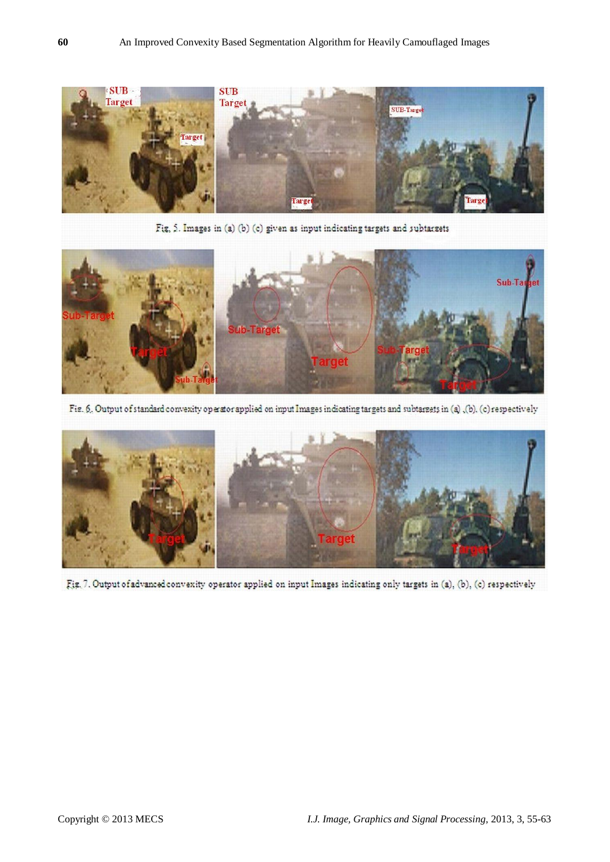

Fig, 5. Images in (a) (b) (c) given as input indicating targets and subtargets



Fig. 6. Output of standard convexity operator applied on input Images indicating targets and subtargets in (a), (b), (c) respectively



Fig. 7. Output of advanced convexity operator applied on input Images indicating only targets in (a), (b), (c) respectively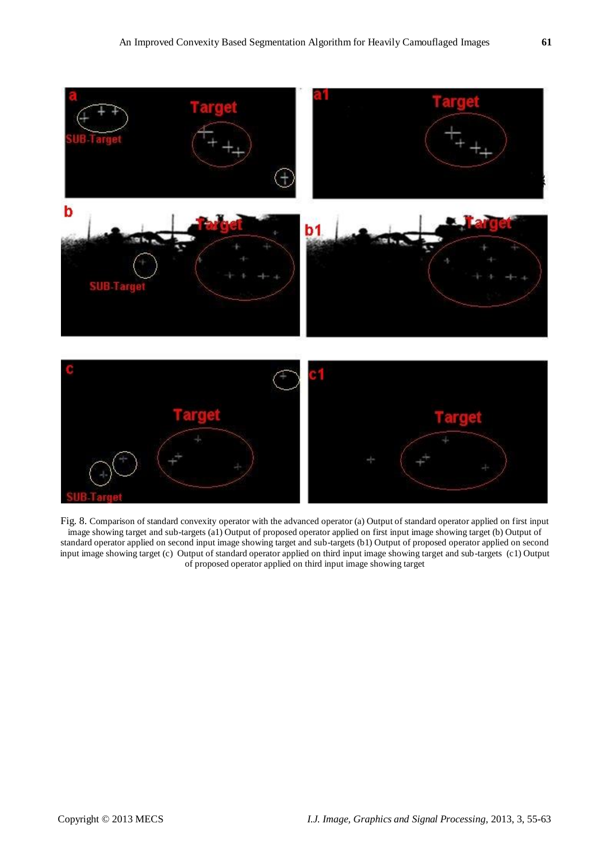

Fig. 8. Comparison of standard convexity operator with the advanced operator (a) Output of standard operator applied on first input image showing target and sub-targets (a1) Output of proposed operator applied on first input image showing target (b) Output of standard operator applied on second input image showing target and sub-targets (b1) Output of proposed operator applied on second input image showing target (c) Output of standard operator applied on third input image showing target and sub-targets (c1) Output of proposed operator applied on third input image showing target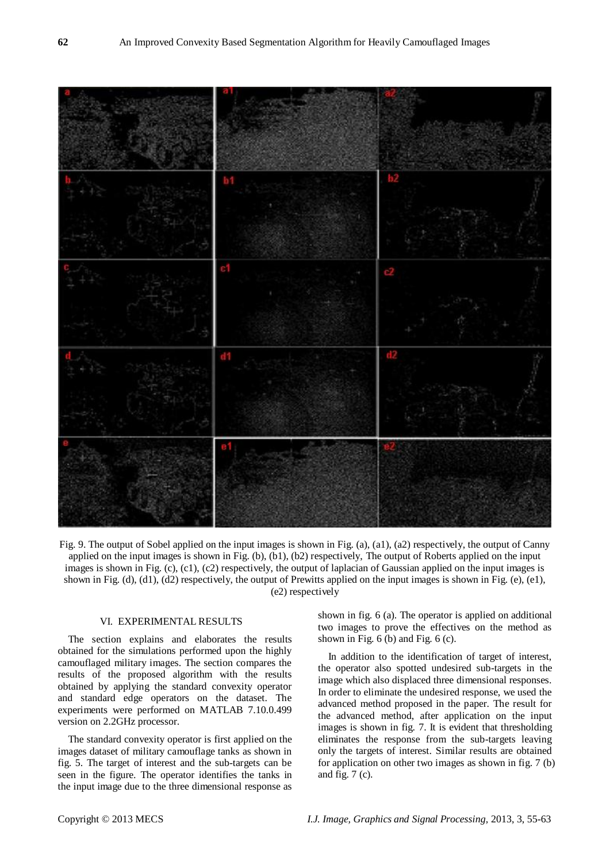

Fig. 9. The output of Sobel applied on the input images is shown in Fig. (a), (a1), (a2) respectively, the output of Canny applied on the input images is shown in Fig. (b), (b1), (b2) respectively, The output of Roberts applied on the input images is shown in Fig. (c), (c1), (c2) respectively, the output of laplacian of Gaussian applied on the input images is shown in Fig.  $(d)$ ,  $(d)$ ,  $(d)$  respectively, the output of Prewitts applied on the input images is shown in Fig.  $(e)$ ,  $(e)$ , (e2) respectively

# VI. EXPERIMENTAL RESULTS

The section explains and elaborates the results obtained for the simulations performed upon the highly camouflaged military images. The section compares the results of the proposed algorithm with the results obtained by applying the standard convexity operator and standard edge operators on the dataset. The experiments were performed on MATLAB 7.10.0.499 version on 2.2GHz processor.

The standard convexity operator is first applied on the images dataset of military camouflage tanks as shown in fig. 5. The target of interest and the sub-targets can be seen in the figure. The operator identifies the tanks in the input image due to the three dimensional response as

shown in fig. 6 (a). The operator is applied on additional two images to prove the effectives on the method as shown in Fig. 6 (b) and Fig. 6 (c).

In addition to the identification of target of interest, the operator also spotted undesired sub-targets in the image which also displaced three dimensional responses. In order to eliminate the undesired response, we used the advanced method proposed in the paper. The result for the advanced method, after application on the input images is shown in fig. 7. It is evident that thresholding eliminates the response from the sub-targets leaving only the targets of interest. Similar results are obtained for application on other two images as shown in fig. 7 (b) and fig. 7 (c).